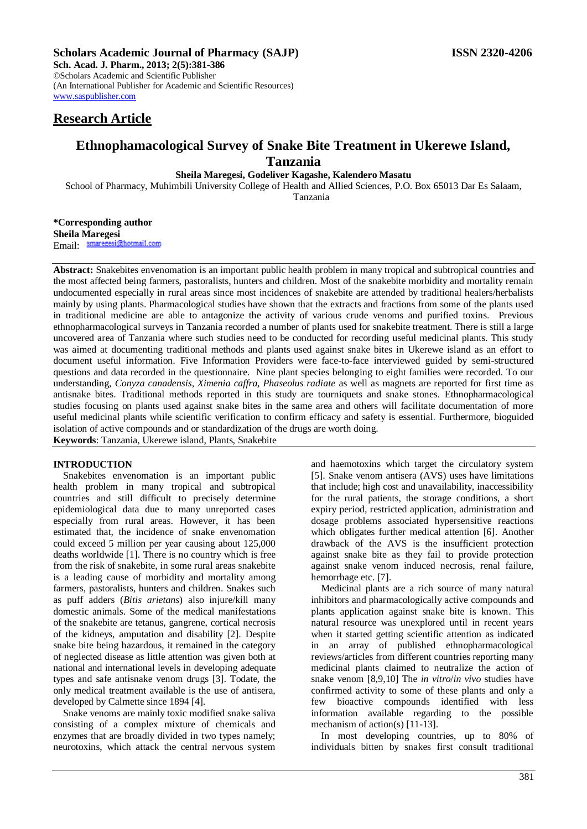## **Scholars Academic Journal of Pharmacy (SAJP) ISSN 2320-4206**

**Sch. Acad. J. Pharm., 2013; 2(5):381-386** ©Scholars Academic and Scientific Publisher (An International Publisher for Academic and Scientific Resources) [www.saspublisher.com](http://www.saspublisher.com/) 

# **Research Article**

# **Ethnophamacological Survey of Snake Bite Treatment in Ukerewe Island, Tanzania**

## **Sheila Maregesi, Godeliver Kagashe, Kalendero Masatu**

School of Pharmacy, Muhimbili University College of Health and Allied Sciences, P.O. Box 65013 Dar Es Salaam,

Tanzania

**\*Corresponding author Sheila Maregesi** Email: smaregesi@hotmail.com

**Abstract:** Snakebites envenomation is an important public health problem in many tropical and subtropical countries and the most affected being farmers, pastoralists, hunters and children. Most of the snakebite morbidity and mortality remain undocumented especially in rural areas since most incidences of snakebite are attended by traditional healers/herbalists mainly by using plants. Pharmacological studies have shown that the extracts and fractions from some of the plants used in traditional medicine are able to antagonize the activity of various crude venoms and purified toxins. Previous ethnopharmacological surveys in Tanzania recorded a number of plants used for snakebite treatment. There is still a large uncovered area of Tanzania where such studies need to be conducted for recording useful medicinal plants. This study was aimed at documenting traditional methods and plants used against snake bites in Ukerewe island as an effort to document useful information. Five Information Providers were face-to-face interviewed guided by semi-structured questions and data recorded in the questionnaire. Nine plant species belonging to eight families were recorded. To our understanding, *Conyza canadensis, Ximenia caffra, Phaseolus radiate* as well as magnets are reported for first time as antisnake bites. Traditional methods reported in this study are tourniquets and snake stones. Ethnopharmacological studies focusing on plants used against snake bites in the same area and others will facilitate documentation of more useful medicinal plants while scientific verification to confirm efficacy and safety is essential. Furthermore, bioguided isolation of active compounds and or standardization of the drugs are worth doing.

**Keywords**: Tanzania, Ukerewe island, Plants, Snakebite

#### **INTRODUCTION**

Snakebites envenomation is an important public health problem in many tropical and subtropical countries and still difficult to precisely determine epidemiological data due to many unreported cases especially from rural areas. However, it has been estimated that, the incidence of snake envenomation could exceed 5 million per year causing about 125,000 deaths worldwide [1]. There is no country which is free from the risk of snakebite, in some rural areas snakebite is a leading cause of morbidity and mortality among farmers, pastoralists, hunters and children. Snakes such as puff adders (*Bitis arietans*) also injure/kill many domestic animals. Some of the medical manifestations of the snakebite are tetanus, gangrene, cortical necrosis of the kidneys, amputation and disability [2]. Despite snake bite being hazardous, it remained in the category of neglected disease as little attention was given both at national and international levels in developing adequate types and safe antisnake venom drugs [3]. Todate, the only medical treatment available is the use of antisera, developed by Calmette since 1894 [4].

Snake venoms are mainly toxic modified snake saliva consisting of a complex mixture of chemicals and enzymes that are broadly divided in two types namely; neurotoxins, which attack the central nervous system

and haemotoxins which target the circulatory system [5]. Snake venom antisera (AVS) uses have limitations that include; high cost and unavailability, inaccessibility for the rural patients, the storage conditions, a short expiry period, restricted application, administration and dosage problems associated hypersensitive reactions which obligates further medical attention [6]. Another drawback of the AVS is the insufficient protection against snake bite as they fail to provide protection against snake venom induced necrosis, renal failure, hemorrhage etc. [7].

Medicinal plants are a rich source of many natural inhibitors and pharmacologically active compounds and plants application against snake bite is known. This natural resource was unexplored until in recent years when it started getting scientific attention as indicated in an array of published ethnopharmacological reviews/articles from different countries reporting many medicinal plants claimed to neutralize the action of snake venom [8,9,10] The *in vitro*/*in vivo* studies have confirmed activity to some of these plants and only a few bioactive compounds identified with less information available regarding to the possible mechanism of action(s) [11-13].

In most developing countries, up to 80% of individuals bitten by snakes first consult traditional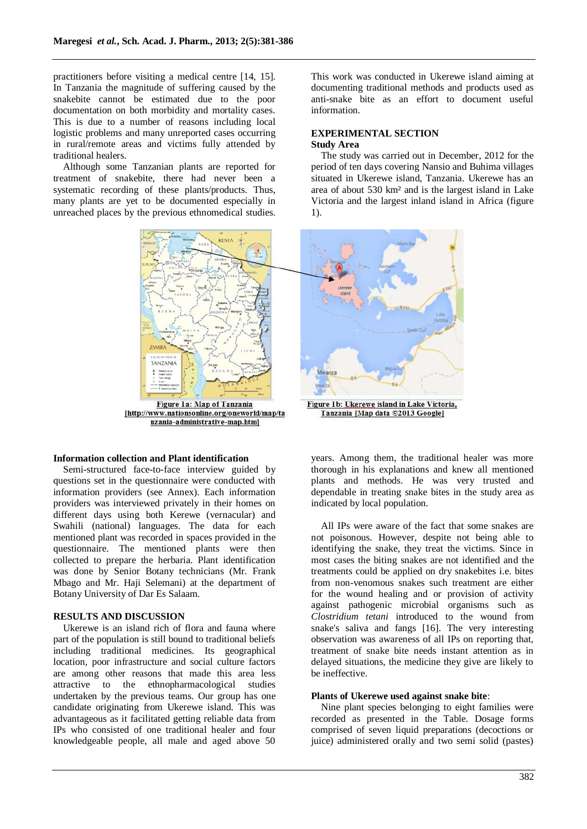practitioners before visiting a medical centre [14, 15]. In Tanzania the magnitude of suffering caused by the snakebite cannot be estimated due to the poor documentation on both morbidity and mortality cases. This is due to a number of reasons including local logistic problems and many unreported cases occurring in rural/remote areas and victims fully attended by traditional healers.

Although some Tanzanian plants are reported for treatment of snakebite, there had never been a systematic recording of these plants/products. Thus, many plants are yet to be documented especially in unreached places by the previous ethnomedical studies.



[http://www.nationsonline.org/oneworld/map/ta nzania-administrative-map.html

## **Information collection and Plant identification**

Semi-structured face-to-face interview guided by questions set in the questionnaire were conducted with information providers (see Annex). Each information providers was interviewed privately in their homes on different days using both Kerewe (vernacular) and Swahili (national) languages. The data for each mentioned plant was recorded in spaces provided in the questionnaire. The mentioned plants were then collected to prepare the herbaria. Plant identification was done by Senior Botany technicians (Mr. Frank Mbago and Mr. Haji Selemani) at the department of Botany University of Dar Es Salaam.

### **RESULTS AND DISCUSSION**

Ukerewe is an island rich of flora and fauna where part of the population is still bound to traditional beliefs including traditional medicines. Its geographical location, poor infrastructure and social culture factors are among other reasons that made this area less attractive to the ethnopharmacological studies undertaken by the previous teams. Our group has one candidate originating from Ukerewe island. This was advantageous as it facilitated getting reliable data from IPs who consisted of one traditional healer and four knowledgeable people, all male and aged above 50

This work was conducted in Ukerewe island aiming at documenting traditional methods and products used as anti-snake bite as an effort to document useful information.

### **EXPERIMENTAL SECTION Study Area**

The study was carried out in December, 2012 for the period of ten days covering Nansio and Buhima villages situated in Ukerewe island, Tanzania. Ukerewe has an area of about 530 km² and is the largest island in Lake Victoria and the largest inland island in Africa (figure 1).



Tanzania [Map data ©2013 Google]

years. Among them, the traditional healer was more thorough in his explanations and knew all mentioned plants and methods. He was very trusted and dependable in treating snake bites in the study area as indicated by local population.

All IPs were aware of the fact that some snakes are not poisonous. However, despite not being able to identifying the snake, they treat the victims. Since in most cases the biting snakes are not identified and the treatments could be applied on dry snakebites i.e. bites from non-venomous snakes such treatment are either for the wound healing and or provision of activity against pathogenic microbial organisms such as *Clostridium tetani* introduced to the wound from snake's saliva and fangs [16]. The very interesting observation was awareness of all IPs on reporting that, treatment of snake bite needs instant attention as in delayed situations, the medicine they give are likely to be ineffective.

#### **Plants of Ukerewe used against snake bite**:

Nine plant species belonging to eight families were recorded as presented in the Table. Dosage forms comprised of seven liquid preparations (decoctions or juice) administered orally and two semi solid (pastes)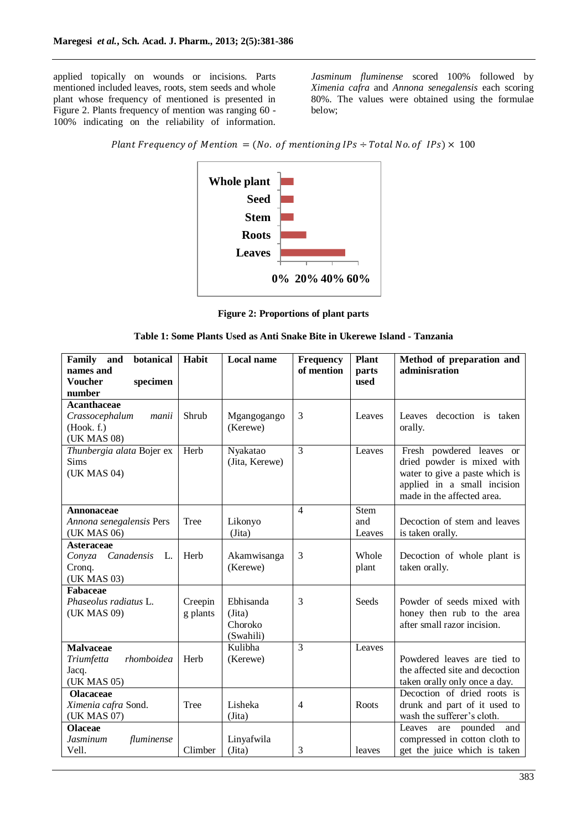applied topically on wounds or incisions. Parts mentioned included leaves, roots, stem seeds and whole plant whose frequency of mentioned is presented in Figure 2. Plants frequency of mention was ranging 60 - 100% indicating on the reliability of information.

*Jasminum fluminense* scored 100% followed by *Ximenia cafra* and *Annona senegalensis* each scoring 80%. The values were obtained using the formulae below;

Plant Frequency of Mention = (No. of mentioning IPs  $\div$  Total No. of IPs)  $\times$  100



**Figure 2: Proportions of plant parts**

| Table 1: Some Plants Used as Anti Snake Bite in Ukerewe Island - Tanzania |  |  |  |
|---------------------------------------------------------------------------|--|--|--|
|---------------------------------------------------------------------------|--|--|--|

| Family<br>botanical<br>and<br>names and<br><b>Voucher</b><br>specimen<br>number | Habit               | <b>Local name</b>                           | Frequency<br>of mention | <b>Plant</b><br>parts<br>used | Method of preparation and<br>adminisration                                                                                                            |
|---------------------------------------------------------------------------------|---------------------|---------------------------------------------|-------------------------|-------------------------------|-------------------------------------------------------------------------------------------------------------------------------------------------------|
| <b>Acanthaceae</b><br>Crassocephalum<br>manii<br>(Hook. f.)<br>(UK MAS 08)      | Shrub               | Mgangogango<br>(Kerewe)                     | 3                       | Leaves                        | decoction is taken<br>Leaves<br>orally.                                                                                                               |
| Thunbergia alata Bojer ex<br>Sims<br>(UK MAS 04)                                | Herb                | Nyakatao<br>(Jita, Kerewe)                  | 3                       | Leaves                        | Fresh powdered leaves or<br>dried powder is mixed with<br>water to give a paste which is<br>applied in a small incision<br>made in the affected area. |
| Annonaceae<br>Annona senegalensis Pers<br>(UK MAS 06)                           | Tree                | Likonyo<br>(Jita)                           | $\overline{4}$          | <b>Stem</b><br>and<br>Leaves  | Decoction of stem and leaves<br>is taken orally.                                                                                                      |
| <b>Asteraceae</b><br>Conyza Canadensis<br>L.<br>Cronq.<br>(UK MAS 03)           | Herb                | Akamwisanga<br>(Kerewe)                     | 3                       | Whole<br>plant                | Decoction of whole plant is<br>taken orally.                                                                                                          |
| Fabaceae<br>Phaseolus radiatus L.<br>(UK MAS 09)                                | Creepin<br>g plants | Ebhisanda<br>(Jita)<br>Choroko<br>(Swahili) | 3                       | <b>Seeds</b>                  | Powder of seeds mixed with<br>honey then rub to the area<br>after small razor incision.                                                               |
| <b>Malvaceae</b><br>rhomboidea<br>Triumfetta<br>Jacq.<br>(UK MAS 05)            | Herb                | Kulibha<br>(Kerewe)                         | 3                       | Leaves                        | Powdered leaves are tied to<br>the affected site and decoction<br>taken orally only once a day.                                                       |
| <b>Olacaceae</b><br>Ximenia cafra Sond.<br>(UK MAS 07)                          | Tree                | Lisheka<br>(Jita)                           | $\overline{4}$          | Roots                         | Decoction of dried roots is<br>drunk and part of it used to<br>wash the sufferer's cloth.                                                             |
| <b>Olaceae</b><br><b>Jasminum</b><br>fluminense<br>Vell.                        | Climber             | Linyafwila<br>(Jita)                        | 3                       | leaves                        | Leaves<br>are pounded and<br>compressed in cotton cloth to<br>get the juice which is taken                                                            |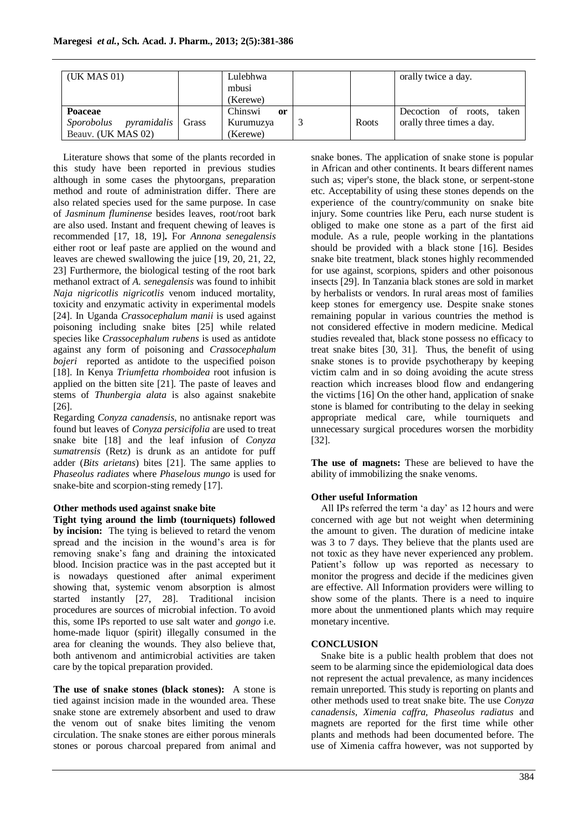| (UK MAS 01)                                                             | Lulebhwa<br>mbusi<br>(Kerewe)          |       | orally twice a day.                                       |
|-------------------------------------------------------------------------|----------------------------------------|-------|-----------------------------------------------------------|
| Poaceae<br>Sporobolus<br><i>pyramidalis</i> Grass<br>Beauv. (UK MAS 02) | Chinswi<br>or<br>Kurumuzya<br>(Kerewe) | Roots | Decoction of roots,<br>taken<br>orally three times a day. |

Literature shows that some of the plants recorded in this study have been reported in previous studies although in some cases the phytoorgans, preparation method and route of administration differ. There are also related species used for the same purpose. In case of *Jasminum fluminense* besides leaves, root/root bark are also used. Instant and frequent chewing of leaves is recommended [17, 18, 19]**.** For *Annona senegalensis*  either root or leaf paste are applied on the wound and leaves are chewed swallowing the juice [19, 20, 21, 22, 23] Furthermore, the biological testing of the root bark methanol extract of *A. senegalensis* was found to inhibit *Naja nigricotlis nigricotlis* venom induced mortality, toxicity and enzymatic activity in experimental models [24]. In Uganda *Crassocephalum manii* is used against poisoning including snake bites [25] while related species like *Crassocephalum rubens* is used as antidote against any form of poisoning and *Crassocephalum bojeri* reported as antidote to the uspecified poison [18]. In Kenya *Triumfetta rhomboidea* root infusion is applied on the bitten site [21]. The paste of leaves and stems of *Thunbergia alata* is also against snakebite [26].

Regarding *Conyza canadensis,* no antisnake report was found but leaves of *Conyza persicifolia* are used to treat snake bite [18] and the leaf infusion of *Conyza sumatrensis* (Retz) is drunk as an antidote for puff adder (*Bits arietans*) bites [21]. The same applies to *Phaseolus radiates* where *Phaselous mungo* is used for snake-bite and scorpion-sting remedy [17].

## **Other methods used against snake bite**

**Tight tying around the limb (tourniquets) followed by incision:** The tying is believed to retard the venom spread and the incision in the wound's area is for removing snake's fang and draining the intoxicated blood. Incision practice was in the past accepted but it is nowadays questioned after animal experiment showing that, systemic venom absorption is almost started instantly [27, 28]. Traditional incision procedures are sources of microbial infection. To avoid this, some IPs reported to use salt water and *gongo* i.e. home-made liquor (spirit) illegally consumed in the area for cleaning the wounds. They also believe that, both antivenom and antimicrobial activities are taken care by the topical preparation provided.

**The use of snake stones (black stones):** A stone is tied against incision made in the wounded area. These snake stone are extremely absorbent and used to draw the venom out of snake bites limiting the venom circulation. The snake stones are either porous minerals stones or porous charcoal prepared from animal and snake bones. The application of snake stone is popular in African and other continents. It bears different names such as; viper's stone, the black stone, or serpent-stone etc. Acceptability of using these stones depends on the experience of the country/community on snake bite injury. Some countries like Peru, each nurse student is obliged to make one stone as a part of the first aid module. As a rule, people working in the plantations should be provided with a black stone [16]. Besides snake bite treatment, black stones highly recommended for use against, scorpions, spiders and other poisonous insects [29]. In Tanzania black stones are sold in market by herbalists or vendors. In rural areas most of families keep stones for emergency use. Despite snake stones remaining popular in various countries the method is not considered effective in modern medicine. Medical studies revealed that, black stone possess no efficacy to treat snake bites [30, 31]. Thus, the benefit of using snake stones is to provide psychotherapy by keeping victim calm and in so doing avoiding the acute stress reaction which increases blood flow and endangering the victims [16] On the other hand, application of snake stone is blamed for contributing to the delay in seeking appropriate medical care, while tourniquets and unnecessary surgical procedures worsen the morbidity [32].

**The use of magnets:** These are believed to have the ability of immobilizing the snake venoms.

# **Other useful Information**

All IPs referred the term 'a day' as 12 hours and were concerned with age but not weight when determining the amount to given. The duration of medicine intake was 3 to 7 days. They believe that the plants used are not toxic as they have never experienced any problem. Patient's follow up was reported as necessary to monitor the progress and decide if the medicines given are effective. All Information providers were willing to show some of the plants. There is a need to inquire more about the unmentioned plants which may require monetary incentive.

## **CONCLUSION**

Snake bite is a public health problem that does not seem to be alarming since the epidemiological data does not represent the actual prevalence, as many incidences remain unreported. This study is reporting on plants and other methods used to treat snake bite. The use *Conyza canadensis, Ximenia caffra, Phaseolus radiatus* and magnets are reported for the first time while other plants and methods had been documented before. The use of Ximenia caffra however, was not supported by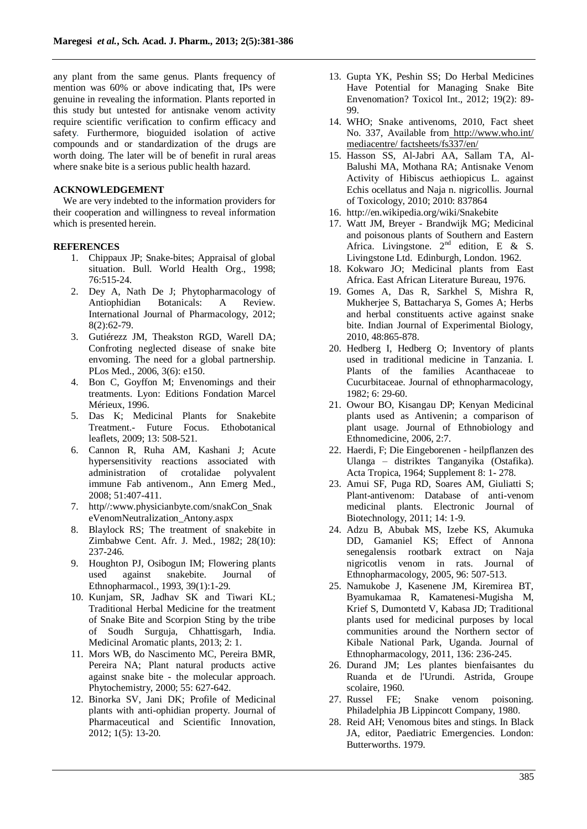any plant from the same genus. Plants frequency of mention was 60% or above indicating that, IPs were genuine in revealing the information. Plants reported in this study but untested for antisnake venom activity require scientific verification to confirm efficacy and safety. Furthermore, bioguided isolation of active compounds and or standardization of the drugs are worth doing. The later will be of benefit in rural areas where snake bite is a serious public health hazard.

#### **ACKNOWLEDGEMENT**

We are very indebted to the information providers for their cooperation and willingness to reveal information which is presented herein.

### **REFERENCES**

- 1. Chippaux JP; Snake-bites; Appraisal of global situation. Bull. World Health Org., 1998; 76:515-24.
- 2. Dey A, Nath De J; Phytopharmacology of Antiophidian Botanicals: A Review. International Journal of Pharmacology, 2012; 8(2):62-79.
- 3. Gutiérezz JM, Theakston RGD, Warell DA; Confroting neglected disease of snake bite envoming. The need for a global partnership. PLos Med., 2006, 3(6): e150.
- 4. Bon C, Goyffon M; Envenomings and their treatments. Lyon: Editions Fondation Marcel Mérieux, 1996.
- 5. Das K; Medicinal Plants for Snakebite Treatment.- Future Focus. Ethobotanical leaflets, 2009; 13: 508-521.
- 6. Cannon R, Ruha AM, Kashani J; Acute hypersensitivity reactions associated with administration of crotalidae polyvalent immune Fab antivenom., Ann Emerg Med., 2008; 51:407-411.
- 7. http//:www.physicianbyte.com/snakCon\_Snak eVenomNeutralization\_Antony.aspx
- 8. [Blaylock RS;](http://www.ncbi.nlm.nih.gov/pubmed?term=Blaylock%20RS%5BAuthor%5D&cauthor=true&cauthor_uid=6762927) The treatment of snakebite in Zimbabwe [Cent. Afr. J. Med.,](http://www.ncbi.nlm.nih.gov/pubmed/6762927) 1982; 28(10): 237-246.
- 9. [Houghton PJ,](http://www.ncbi.nlm.nih.gov/pubmed?term=Houghton%20PJ%5BAuthor%5D&cauthor=true&cauthor_uid=8331959) [Osibogun IM;](http://www.ncbi.nlm.nih.gov/pubmed?term=Osibogun%20IM%5BAuthor%5D&cauthor=true&cauthor_uid=8331959) Flowering plants used against snakebite. [Journal of](http://www.ncbi.nlm.nih.gov/pubmed/8331959)  [Ethnopharmacol.,](http://www.ncbi.nlm.nih.gov/pubmed/8331959) 1993, 39(1):1-29.
- 10. Kunjam, SR, Jadhav SK and Tiwari KL; Traditional Herbal Medicine for the treatment of Snake Bite and Scorpion Sting by the tribe of Soudh Surguja, Chhattisgarh, India. Medicinal Aromatic plants, 2013; 2: 1.
- 11. Mors WB, do Nascimento MC, Pereira BMR, Pereira NA; Plant natural products active against snake bite - the molecular approach. Phytochemistry, 2000; 55: 627-642.
- 12. Binorka SV, Jani DK; Profile of Medicinal plants with anti-ophidian property. Journal of Pharmaceutical and Scientific Innovation, 2012; 1(5): 13-20.
- 13. [Gupta](http://www.ncbi.nlm.nih.gov/pubmed/?term=Gupta%20YK%5Bauth%5D) YK, [Peshin](http://www.ncbi.nlm.nih.gov/pubmed/?term=Peshin%20SS%5Bauth%5D) SS; Do Herbal Medicines Have Potential for Managing Snake Bite Envenomation? Toxicol Int., 2012; 19(2): 89- 99.
- 14. WHO; Snake antivenoms, 2010, Fact sheet No. 337, Available from <http://www.who.int/> mediacentre/ factsheets/fs337/en/
- 15. Hasson SS, Al-Jabri AA, Sallam TA, Al-Balushi MA, Mothana RA; Antisnake Venom Activity of Hibiscus aethiopicus L. against Echis ocellatus and Naja n. nigricollis. Journal of Toxicology, 2010; 2010: 837864
- 16. <http://en.wikipedia.org/wiki/Snakebite>
- 17. Watt JM, Breyer Brandwijk MG; Medicinal and poisonous plants of Southern and Eastern Africa. Livingstone.  $2<sup>nd</sup>$  edition, E & S. Livingstone Ltd. Edinburgh, London. 1962.
- 18. Kokwaro JO; Medicinal plants from East Africa. East African Literature Bureau, 1976.
- 19. Gomes A, Das R, Sarkhel S, Mishra R, Mukherjee S, Battacharya S, Gomes A; Herbs and herbal constituents active against snake bite. Indian Journal of Experimental Biology, 2010, 48:865-878.
- 20. Hedberg I, Hedberg O; Inventory of plants used in traditional medicine in Tanzania. I. Plants of the families Acanthaceae to Cucurbitaceae. Journal of ethnopharmacology, 1982; 6: 29-60.
- 21. Owour BO, Kisangau DP; Kenyan Medicinal plants used as Antivenin; a comparison of plant usage. Journal of Ethnobiology and Ethnomedicine, 2006, 2:7.
- 22. Haerdi, F; Die Eingeborenen heilpflanzen des Ulanga – distriktes Tanganyika (Ostafika). Acta Tropica, 1964; Supplement 8: 1- 278.
- 23. Amui SF, Puga RD, Soares AM, Giuliatti S; Plant-antivenom: Database of anti-venom medicinal plants. Electronic Journal of Biotechnology, 2011; 14: 1-9.
- 24. Adzu B, Abubak MS, Izebe KS, Akumuka DD, Gamaniel KS; Effect of Annona senegalensis rootbark extract on Naja nigricotlis venom in rats. Journal of Ethnopharmacology, 2005, 96: 507-513.
- 25. Namukobe J, Kasenene JM, Kiremirea BT, Byamukamaa R, Kamatenesi-Mugisha M, Krief S, Dumontetd V, Kabasa JD; Traditional plants used for medicinal purposes by local communities around the Northern sector of Kibale National Park, Uganda. Journal of Ethnopharmacology, 2011, 136: 236-245.
- 26. Durand JM; Les plantes bienfaisantes du Ruanda et de l'Urundi. Astrida, Groupe scolaire, 1960.
- 27. Russel FE; Snake venom poisoning. Philadelphia JB Lippincott Company, 1980.
- 28. Reid AH; Venomous bites and stings. In Black JA, editor, Paediatric Emergencies. London: Butterworths. 1979.